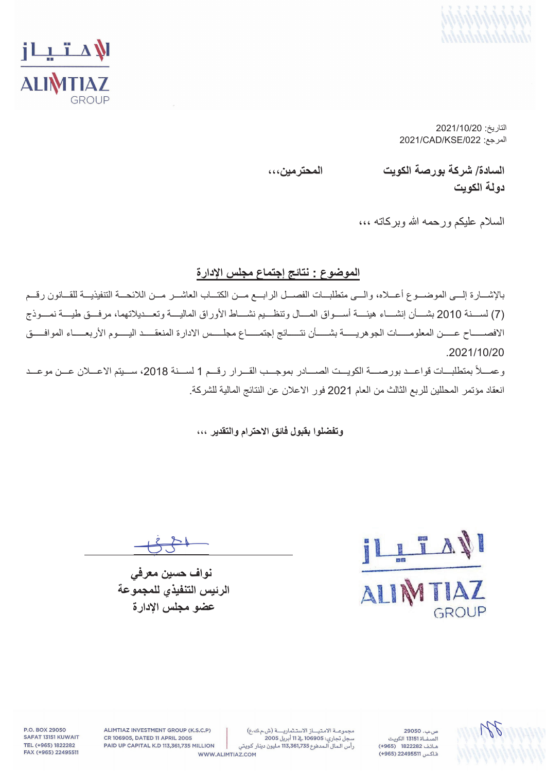



التاريخ: 2021/10/20  $2021$ /CAD/KSE/022

**ˬˬˬϥϳϣέΗΣϣϟ ΕϳϭϛϟΔλέϭΑΔϛέη** /**ΓΩΎγϟ دو لـة الكويت** 

السلام عليكم ورحمه الله وبركاته ،،،

#### الموضوع : نتائج إ**جتماع مجلس الإدار**ة

بالإشـــارة إلـــي الموضـــوع أعـــلاه، والـــي متطلبـــات الفصـــل الرابـــع مـــن الكتـــاب العاشـــر مـــن اللائحـــة التتفيذيـــة للقـــانون رقـــم مّ) لســــذة 2010 بشــــأن إنشــــاء هيئــــة أســــواق المـــال وتنظـــيم نشــــاط الأوراق الماليــــة وتعـــديلاتهما، مرفـــق طيــــة نمــــوذج الافصــــاح عــــن المعلومـــــات الجوهريـــــة بشــــأن نتــــائج إجتمــــاع مجلــــس الادارة المنعقــــد اليــــوم الأربعــــاء الموافــــق .2021/10/20

وعمــلأ بمتطلبــات قواعــد بورصـــة الكويــت الصـــادر بموجــب القــرار رقــم 1 لســنة 2018، ســيتم الاعــلان عــن موعــد انعقاد مؤتمر المحللين للربع الثالث من العام 2021 فور الاعلان عن النتائج المالية للشركة.

#### وت**فضلوا بِفَبِولِ فَ**ائقِ الإحترام والتقدير ،،،

LIAN GROUP

نواف حسين معرف*ي* الرئيس التنفيذ*ى* للمجموعة عضو مجلس الإدار ة



ص ب. 29050 .<br>الصفــاة 13151 الكويت هاتف 1822282 (965+) فاكس 22495511 (965+)

مجموعة الامتياز الاستثمارية (ش.م.ك.ع) .<br>سجل تجاري: 106905 <u>به</u> 11 أبريل 2005 رأس المال المدفوع 113,361,735 مليون دينار كويتي

ALIMTIAZ INVESTMENT GROUP (K.S.C.P) CR 106905, DATED 11 APRIL 2005 PAID UP CAPITAL K.D 113,361,735 MILLION WWW.ALIMTIAZ.COM

P.O. BOX 29050 SAFAT 13151 KUWAIT TEL (+965) 1822282 FAX (+965) 22495511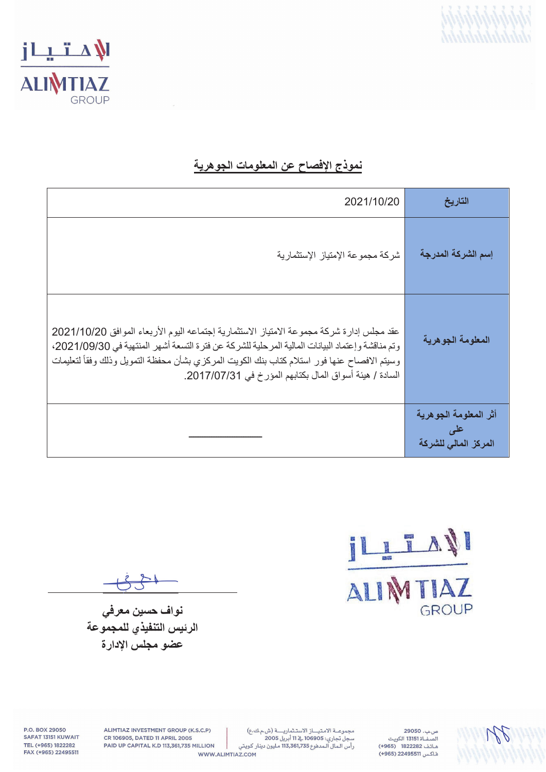



## <mark>نموذج الإفصاح عن المعلومات الجوهرية</mark>

| 2021/10/20                                                                                                                                                                                                                                                                                                                                               | التاريخ                                               |
|----------------------------------------------------------------------------------------------------------------------------------------------------------------------------------------------------------------------------------------------------------------------------------------------------------------------------------------------------------|-------------------------------------------------------|
| شركة مجموعة الإمتياز الإستثمارية                                                                                                                                                                                                                                                                                                                         | إسم الشركة المدرجة                                    |
| عقد مجلس إدارة شركة مجموعة الامتياز الاستثمارية إجتماعه اليوم الأربعاء الموافق 2021/10/20<br>وتم مناقشة وإعتماد البيانات المالية المرحلية للشركة عن فترة التسعة أشهر المنتهية في 2021/09/30،<br>وسيتم الافصـاح عنـها فور استلام كتاب بنك الكويت المركزي بشأن محفظة التمويل وذلك وفقأ لتعليمات<br>السادة / هيئة أسواق المال بكتابهم المؤرخ في 2017/07/31. | المعلومة الجوهرية                                     |
|                                                                                                                                                                                                                                                                                                                                                          | أثر المعلومة الجوهرية<br>علمی<br>المركز المالى للشركة |

ILLTAN GROUP

कर

نواف حسين معرف*ي* الرئيس التنفيذي للمجموعة عضو مجلس الإدار ة

ص.ب. 29050 .<br>الصفــاة 13151 الكويت هاتف 1822282 (965+) فاكس 22495511 (965+)

WR

ALIMTIAZ INVESTMENT GROUP (K.S.C.P) CR 106905, DATED 11 APRIL 2005 PAID UP CAPITAL K.D 113,361,735 MILLION WWW.ALIMTIAZ.COM

P.O. BOX 29050 SAFAT 13151 KUWAIT TEL (+965) 1822282 FAX (+965) 22495511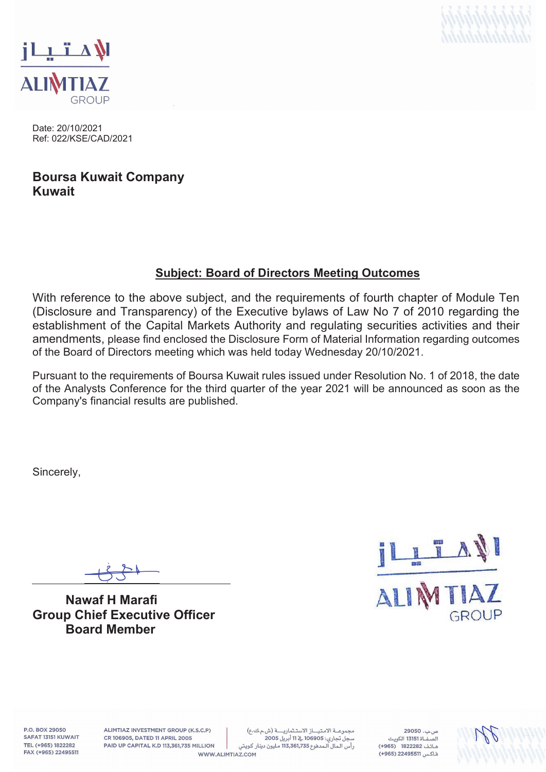



Date: 20/10/2021 Ref: 022/KSE/CAD/2021

## **Boursa Kuwait Company Kuwait**

### **Subject: Board of Directors Meeting Outcomes**

With reference to the above subject, and the requirements of fourth chapter of Module Ten (Disclosure and Transparency) of the Executive bylaws of Law No 7 of 2010 regarding the establishment of the Capital Markets Authority and regulating securities activities and their amendments, please find enclosed the Disclosure Form of Material Information regarding outcomes of the Board of Directors meeting which was held today Wednesday 20/10/2021.

Pursuant to the requirements of Boursa Kuwait rules issued under Resolution No. 1 of 2018, the date of the Analysts Conference for the third quarter of the year 2021 will be announced as soon as the Company's financial results are published.

Sincerely,

**Nawaf H Marafi Group Chief Executive Officer Board Member** 



P.O. BOX 29050 SAFAT 13151 KUWAIT TEL (+965) 1822282 FAX (+965) 22495511

ALIMTIAZ INVESTMENT GROUP (K.S.C.P) CR 106905, DATED 11 APRIL 2005 PAID UP CAPITAL K.D 113,361,735 MILLION

مجموعة الامتياز الاستثمارية (ش.م.ك.ع) سجل تجاري: 106905 ﴾ 11 أبريل 2005 رأس المال المدفوع 113,361,735 مليون دينار كويتي WWW.ALIMTIAZ.COM

 $29050, \ldots$ هاتف 1822282 (965+) فاكس 22495511 (965+)